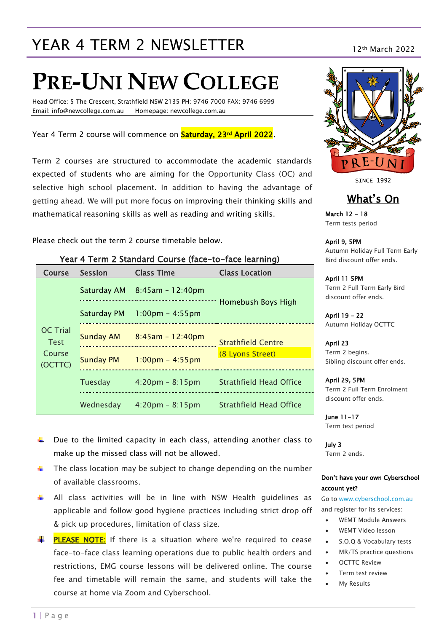## YEAR 4 TERM 2 NEWSLETTER 12th March 2022

# **PRE-UNI NEW COLLEGE**

Head Office: 5 The Crescent, Strathfield NSW 2135 PH: 9746 7000 FAX: 9746 6999 Email: info@newcollege.com.au Homepage: newcollege.com.au

Year 4 Term 2 course will commence on **Saturday, 23<sup>rd</sup> April 2022**.

Term 2 courses are structured to accommodate the academic standards expected of students who are aiming for the Opportunity Class (OC) and selective high school placement. In addition to having the advantage of getting ahead. We will put more focus on improving their thinking skills and mathematical reasoning skills as well as reading and writing skills.

Please check out the term 2 course timetable below.

| Year 4 Term 2 Standard Course (face-to-face learning) |                    |                                   |                           |  |  |
|-------------------------------------------------------|--------------------|-----------------------------------|---------------------------|--|--|
| <b>Course</b>                                         | <b>Session</b>     | <b>Class Time</b>                 | <b>Class Location</b>     |  |  |
|                                                       | Saturday AM        | 8:45am - 12:40pm                  |                           |  |  |
|                                                       | <b>Saturday PM</b> | $1:00 \text{pm} - 4:55 \text{pm}$ | Homebush Boys High        |  |  |
| <b>OC</b> Trial<br><b>Test</b>                        | <b>Sunday AM</b>   | $8:45$ am - 12:40pm               | <b>Strathfield Centre</b> |  |  |
| Course<br>(OCTTC)                                     | <b>Sunday PM</b>   | $1:00 \text{pm} - 4:55 \text{pm}$ | (8 Lyons Street)          |  |  |
|                                                       | <b>Tuesday</b>     | $4:20 \text{pm} - 8:15 \text{pm}$ | Strathfield Head Office   |  |  |
|                                                       | Wednesday          | $4:20 \text{pm} - 8:15 \text{pm}$ | Strathfield Head Office   |  |  |

**SINCE 1992** 

## What's On

March 12 - 18 Term tests period

April 9, 5PM Autumn Holiday Full Term Early Bird discount offer ends.

April 11 5PM Term 2 Full Term Early Bird discount offer ends.

April 19 - 22 Autumn Holiday OCTTC

April 23 Term 2 begins. Sibling discount offer ends.

April 29, 5PM Term 2 Full Term Enrolment discount offer ends.

June 11-17 Term test period

July 3 Term 2 ends.

#### Don't have your own Cyberschool account yet?

Go t[o www.cyberschool.com.au](http://www.cyberschool.com.au/) and register for its services:

- WEMT Module Answers
- WEMT Video lesson
- S.O.Q & Vocabulary tests
- MR/TS practice questions
- OCTTC Review
- Term test review
- My Results

make up the missed class will not be allowed.

 $\ddot{\phantom{1}}$  Due to the limited capacity in each class, attending another class to

- The class location may be subject to change depending on the number of available classrooms.
- All class activities will be in line with NSW Health guidelines as applicable and follow good hygiene practices including strict drop off & pick up procedures, limitation of class size.

**FLEASE NOTE:** If there is a situation where we're required to cease face-to-face class learning operations due to public health orders and restrictions, EMG course lessons will be delivered online. The course fee and timetable will remain the same, and students will take the course at home via Zoom and Cyberschool.

#### 1 | P a g e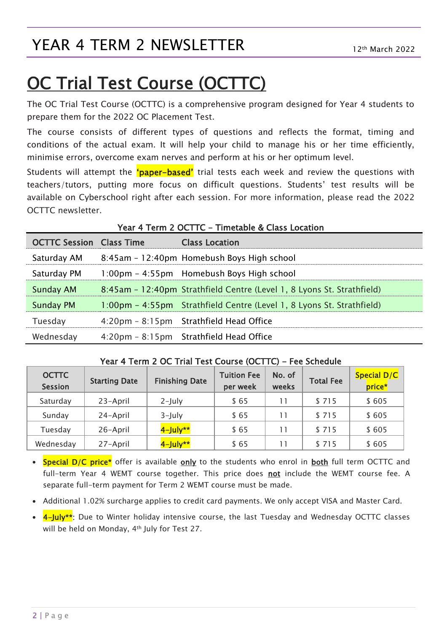## OC Trial Test Course (OCTTC)

The OC Trial Test Course (OCTTC) is a comprehensive program designed for Year 4 students to prepare them for the 2022 OC Placement Test.

The course consists of different types of questions and reflects the format, timing and conditions of the actual exam. It will help your child to manage his or her time efficiently, minimise errors, overcome exam nerves and perform at his or her optimum level.

Students will attempt the *'paper-based'* trial tests each week and review the questions with teachers/tutors, putting more focus on difficult questions. Students' test results will be available on Cyberschool right after each session. For more information, please read the 2022 OCTTC newsletter.

| <b>OCTTC Session Class Time</b> | <b>Class Location</b>                                                  |
|---------------------------------|------------------------------------------------------------------------|
| Saturday AM                     | 8:45am - 12:40pm Homebush Boys High school                             |
| Saturday PM                     | 1:00pm - 4:55pm Homebush Boys High school                              |
| <b>Sunday AM</b>                | 8:45am - 12:40pm Strathfield Centre (Level 1, 8 Lyons St. Strathfield) |
| <b>Sunday PM</b>                | 1:00pm - 4:55pm Strathfield Centre (Level 1, 8 Lyons St. Strathfield)  |
| Tuesday                         | 4:20pm - 8:15pm Strathfield Head Office                                |
| Wednesday                       | 4:20pm - 8:15pm Strathfield Head Office                                |

#### Year 4 Term 2 OCTTC - Timetable & Class Location

| Year 4 Term 2 OC Trial Test Course (OCTTC) – Fee Schedule |  |  |                     |  |  |  |  |
|-----------------------------------------------------------|--|--|---------------------|--|--|--|--|
|                                                           |  |  | Tuition Foo   No of |  |  |  |  |

| <b>OCTTC</b><br><b>Session</b> | <b>Starting Date</b> | <b>Finishing Date</b> | <b>Tuition Fee</b><br>per week | No. of<br>weeks | <b>Total Fee</b> | Special D/C<br>price* |
|--------------------------------|----------------------|-----------------------|--------------------------------|-----------------|------------------|-----------------------|
| Saturday                       | 23-April             | $2$ -July             | \$65                           | 11              | \$715            | \$605                 |
| Sunday                         | 24-April             | $3$ -July             | \$ 65                          | 11              | \$715            | \$605                 |
| Tuesday                        | 26-April             | $4$ -July**           | \$ 65                          |                 | \$715            | \$605                 |
| Wednesday                      | 27-April             | $4$ -July**           | \$ 65                          |                 | \$715            | \$605                 |

- Special D/C price\* offer is available only to the students who enrol in both full term OCTTC and full-term Year 4 WEMT course together. This price does not include the WEMT course fee. A separate full-term payment for Term 2 WEMT course must be made.
- Additional 1.02% surcharge applies to credit card payments. We only accept VISA and Master Card.
- 4-July<sup>\*\*</sup>: Due to Winter holiday intensive course, the last Tuesday and Wednesday OCTTC classes will be held on Monday, 4th July for Test 27.